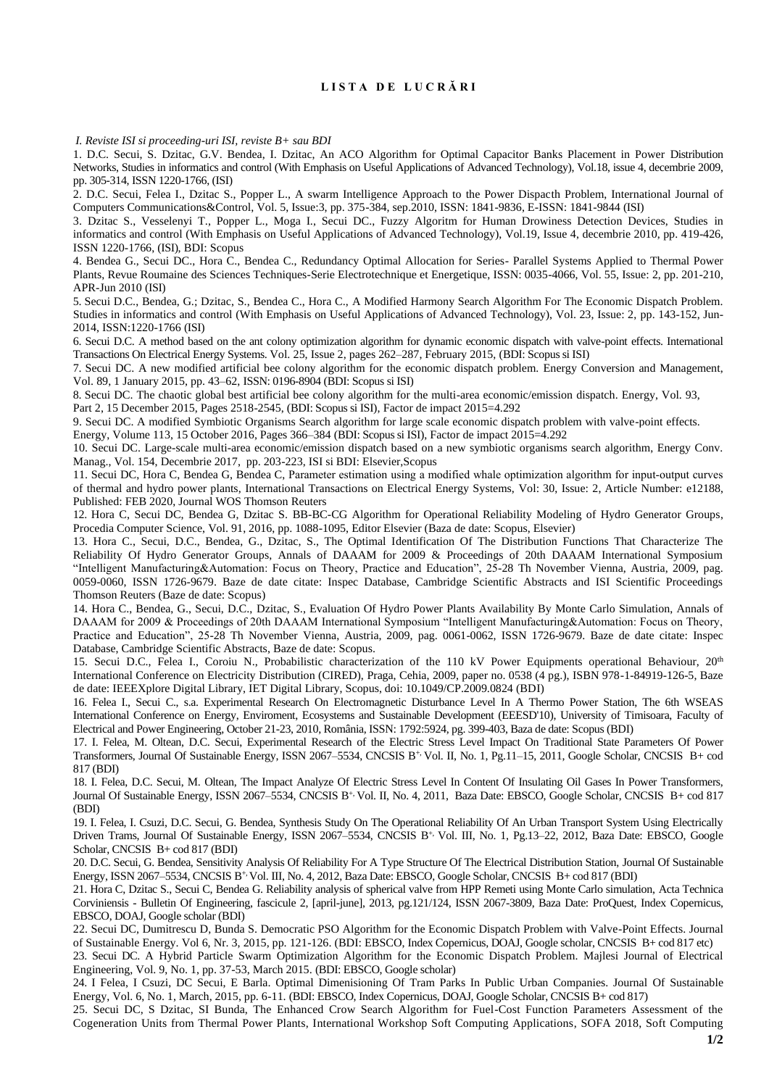## **L I S T A D E L U C R Ă R I**

*I. Reviste ISI si proceeding-uri ISI, reviste B+ sau BDI*

1. D.C. Secui, S. Dzitac, G.V. Bendea, I. Dzitac, An ACO Algorithm for Optimal Capacitor Banks Placement in Power Distribution Networks, Studies in informatics and control (With Emphasis on Useful Applications of Advanced Technology), Vol.18, issue 4, decembrie 2009, pp. 305-314, ISSN 1220-1766, (ISI)

2. D.C. Secui, Felea I., Dzitac S., Popper L., A swarm Intelligence Approach to the Power Dispacth Problem, International Journal of Computers Communications&Control, Vol. 5, Issue:3, pp. 375-384, sep.2010, ISSN: 1841-9836, E-ISSN: 1841-9844 (ISI)

3. Dzitac S., Vesselenyi T., Popper L., Moga I., Secui DC., Fuzzy Algoritm for Human Drowiness Detection Devices, Studies in informatics and control (With Emphasis on Useful Applications of Advanced Technology), Vol.19, Issue 4, decembrie 2010, pp. 419-426, ISSN 1220-1766, (ISI), BDI: Scopus

4. Bendea G., Secui DC., Hora C., Bendea C., Redundancy Optimal Allocation for Series- Parallel Systems Applied to Thermal Power Plants, Revue Roumaine des Sciences Techniques-Serie Electrotechnique et Energetique, ISSN: 0035-4066, Vol. 55, Issue: 2, pp. 201-210, APR-Jun 2010 (ISI)

5. Secui D.C., Bendea, G.; Dzitac, S., Bendea C., Hora C., A Modified Harmony Search Algorithm For The Economic Dispatch Problem. Studies in informatics and control (With Emphasis on Useful Applications of Advanced Technology), Vol. 23, Issue: 2, pp. 143-152, Jun-2014, ISSN:1220-1766 (ISI)

6. Secui D.C. A method based on the ant colony optimization algorithm for dynamic economic dispatch with valve-point effects. International Transactions On Electrical Energy Systems. Vol. 25, [Issue](http://onlinelibrary.wiley.com/doi/10.1002/etep.v25.2/issuetoc) 2, pages 262–287, February 2015, (BDI: Scopus si ISI)

7. Secui DC. A new modified artificial bee colony algorithm for the economic dispatch problem. Energy Conversion and [Management,](http://www.sciencedirect.com/science/journal/01968904) [Vol.](http://www.sciencedirect.com/science/journal/01968904/89/supp/C) 89, 1 January 2015, pp. 43–62, ISSN: 0196-8904 (BDI: Scopus si ISI)

8. Secui DC. [The chaotic global best artificial bee colony algorithm for the multi-area economic/emission dispatch.](http://www.sciencedirect.com.ux4ll8xu6v.useaccesscontrol.com/science/article/pii/S0360544215013766) Energy, Vol. 93,

Part 2, 15 December 2015, Pages 2518-2545, (BDI: Scopus si ISI), Factor de impact 2015=4.292

9. Secui DC. A modified Symbiotic Organisms Search algorithm for large scale economic dispatch problem with valve-point effects.

[Energy,](http://www.sciencedirect.com/science/journal/03605442) [Volume](http://www.sciencedirect.com/science/journal/03605442/113/supp/C) 113, 15 October 2016, Pages 366–384 (BDI: Scopus si ISI), Factor de impact 2015=4.292

10. Secui DC. Large-scale multi-area economic/emission dispatch based on a new symbiotic organisms search algorithm, Energy Conv. Manag., Vol. 154, Decembrie 2017, pp. 203-223, ISI si BDI: Elsevier,Scopus

11. Secui DC, Hora C, Bendea G, Bendea C, [Parameter estimation using a modified whale optimization algorithm for input‐output curves](https://onlinelibrary.wiley.com/doi/abs/10.1002/2050-7038.12188)  [of thermal and hydro power plants,](https://onlinelibrary.wiley.com/doi/abs/10.1002/2050-7038.12188) International Transactions on Electrical Energy Systems, Vol: 30, Issue: 2, Article Number: e12188, Published: FEB 2020, Journal WOS Thomson Reuters

12. Hora C, Secui DC, Bendea G, Dzitac S. [BB-BC-CG Algorithm for Operational Reliability Modeling of Hydro Generator Groups,](http://www.sciencedirect.com/science/article/pii/S1877050916313515) Procedia Computer Science, Vol. 91, 2016, pp. 1088-1095, Editor Elsevier (Baza de date: Scopus, Elsevier)

13. Hora C., Secui, D.C., Bendea, G., Dzitac, S., The Optimal Identification Of The Distribution Functions That Characterize The Reliability Of Hydro Generator Groups, Annals of DAAAM for 2009 & Proceedings of 20th DAAAM International Symposium "Intelligent Manufacturing&Automation: Focus on Theory, Practice and Education", 25-28 Th November Vienna, Austria, 2009, pag. 0059-0060, ISSN 1726-9679. Baze de date citate: Inspec Database, Cambridge Scientific Abstracts and ISI Scientific Proceedings Thomson Reuters (Baze de date: Scopus)

14. Hora C., Bendea, G., Secui, D.C., Dzitac, S., Evaluation Of Hydro Power Plants Availability By Monte Carlo Simulation, Annals of DAAAM for 2009 & Proceedings of 20th DAAAM International Symposium "Intelligent Manufacturing&Automation: Focus on Theory, Practice and Education", 25-28 Th November Vienna, Austria, 2009, pag. 0061-0062, ISSN 1726-9679. Baze de date citate: Inspec Database, Cambridge Scientific Abstracts, Baze de date: Scopus.

15. Secui D.C., Felea I., Coroiu N., Probabilistic characterization of the 110 kV Power Equipments operational Behaviour, 20<sup>th</sup> International Conference on Electricity Distribution (CIRED), Praga, Cehia, 2009, paper no. 0538 (4 pg.), ISBN 978-1-84919-126-5, Baze de date: IEEEXplore Digital Library, IET Digital Library, Scopus, doi: 10.1049/CP.2009.0824 (BDI)

16. Felea I., Secui C., s.a. Experimental Research On Electromagnetic Disturbance Level In A Thermo Power Station, The 6th WSEAS International Conference on Energy, Enviroment, Ecosystems and Sustainable Development (EEESD'10), University of Timisoara, Faculty of Electrical and Power Engineering, October 21-23, 2010, România, ISSN: 1792:5924, pg. 399-403, Baza de date: Scopus (BDI)

17. I. Felea, M. Oltean, D.C. Secui, Experimental Research of the Electric Stress Level Impact On Traditional State Parameters Of Power Transformers, Journal Of Sustainable Energy, ISSN 2067–5534, CNCSIS B+, Vol. II, No. 1, Pg.11–15, 2011, Google Scholar, CNCSIS B+ cod 817 (BDI)

18. I. Felea, D.C. Secui, M. Oltean, The Impact Analyze Of Electric Stress Level In Content Of Insulating Oil Gases In Power Transformers, Journal Of Sustainable Energy, ISSN 2067–5534, CNCSIS B+, Vol. II, No. 4, 2011, Baza Date: EBSCO, Google Scholar, CNCSIS B+ cod 817 (BDI)

19. I. Felea, I. Csuzi, D.C. Secui, G. Bendea, [Synthesis Study On The Operational Reliability Of An Urban Transport System Using Electrically](http://www.energy-cie.ro/archives/2012/nr_1/v3-n1-2.pdf)  [Driven Trams,](http://www.energy-cie.ro/archives/2012/nr_1/v3-n1-2.pdf) Journal Of Sustainable Energy, ISSN 2067–5534, CNCSIS B+, Vol. III, No. 1, Pg.13–22, 2012, Baza Date: EBSCO, Google Scholar, CNCSIS B+ cod 817 (BDI)

20. D.C. Secui, G. Bendea, Sensitivity Analysis Of Reliability For A Type Structure Of The Electrical Distribution Station, Journal Of Sustainable Energy, ISSN 2067–5534, CNCSIS B<sup>+,</sup> Vol. III, No. 4, 2012, Baza Date: EBSCO, Google Scholar, CNCSIS B+ cod 817 (BDI)

21. Hora C, Dzitac S., Secui C, Bendea G. Reliability analysis of spherical valve from HPP Remeti using Monte Carlo simulation, Acta Technica Corviniensis - Bulletin Of Engineering, fascicule 2, [april-june], 2013, pg.121/124, ISSN 2067-3809, Baza Date: ProQuest, Index Copernicus, EBSCO, DOAJ, Google scholar (BDI)

22. Secui DC, Dumitrescu D, Bunda S. Democratic PSO Algorithm for the Economic Dispatch Problem with Valve-Point Effects. Journal of Sustainable Energy. Vol 6, Nr. 3, 2015, pp. 121-126. (BDI: EBSCO, Index Copernicus, DOAJ, Google scholar, CNCSIS B+ cod 817 etc)

23. Secui DC. [A Hybrid Particle Swarm Optimization Algorithm for the Economic Dispatch Problem.](http://www.mjee.org/index/index.php/ee/article/view/1231) Majlesi Journal of Electrical Engineering, Vol. 9, No. 1, pp. 37-53, March 2015. (BDI: EBSCO, Google scholar)

24. I Felea, I Csuzi, DC Secui, E Barla. Optimal Dimenisioning Of Tram Parks In Public Urban Companies. Journal Of Sustainable Energy, Vol. 6, No. 1, March, 2015, pp. 6-11. (BDI: EBSCO, Index Copernicus, DOAJ, Google Scholar, CNCSIS B+ cod 817)

25. Secui DC, S Dzitac, SI Bunda, The Enhanced Crow Search Algorithm for Fuel-Cost Function Parameters Assessment of the Cogeneration Units from Thermal Power Plants, [International Workshop Soft Computing Applications,](https://link.springer.com/conference/sofa) SOFA 2018, [Soft Computing](https://link.springer.com/book/10.1007/978-3-030-51992-6)